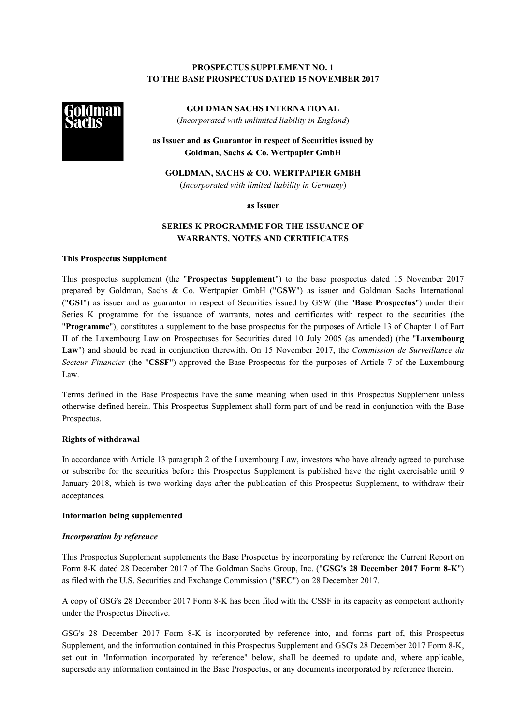# **PROSPECTUS SUPPLEMENT NO. 1 TO THE BASE PROSPECTUS DATED 15 NOVEMBER 2017**



**GOLDMAN SACHS INTERNATIONAL** (*Incorporated with unlimited liability in England*)

**as Issuer and as Guarantor in respect of Securities issued by Goldman, Sachs & Co. Wertpapier GmbH**

**GOLDMAN, SACHS & CO. WERTPAPIER GMBH** (*Incorporated with limited liability in Germany*)

**as Issuer**

# **SERIES K PROGRAMME FOR THE ISSUANCE OF WARRANTS, NOTES AND CERTIFICATES**

## **This Prospectus Supplement**

This prospectus supplement (the "**Prospectus Supplement**") to the base prospectus dated 15 November 2017 prepared by Goldman, Sachs & Co. Wertpapier GmbH ("**GSW**") as issuer and Goldman Sachs International ("**GSI**") as issuer and as guarantor in respect of Securities issued by GSW (the "**Base Prospectus**") under their Series K programme for the issuance of warrants, notes and certificates with respect to the securities (the "**Programme**"), constitutes a supplement to the base prospectus for the purposes of Article 13 of Chapter 1 of Part II of the Luxembourg Law on Prospectuses for Securities dated 10 July 2005 (as amended) (the "**Luxembourg Law**") and should be read in conjunction therewith. On 15 November 2017, the *Commission de Surveillance du Secteur Financier* (the "**CSSF**") approved the Base Prospectus for the purposes of Article 7 of the Luxembourg Law.

Terms defined in the Base Prospectus have the same meaning when used in this Prospectus Supplement unless otherwise defined herein. This Prospectus Supplement shall form part of and be read in conjunction with the Base Prospectus.

#### **Rights of withdrawal**

In accordance with Article 13 paragraph 2 of the Luxembourg Law, investors who have already agreed to purchase or subscribe for the securities before this Prospectus Supplement is published have the right exercisable until 9 January 2018, which is two working days after the publication of this Prospectus Supplement, to withdraw their acceptances.

### **Information being supplemented**

#### *Incorporation by reference*

This Prospectus Supplement supplements the Base Prospectus by incorporating by reference the Current Report on Form 8-K dated 28 December 2017 of The Goldman Sachs Group, Inc. ("**GSG's 28 December 2017 Form 8-K**") as filed with the U.S. Securities and Exchange Commission ("**SEC**") on 28 December 2017.

A copy of GSG's 28 December 2017 Form 8-K has been filed with the CSSF in its capacity as competent authority under the Prospectus Directive.

GSG's 28 December 2017 Form 8-K is incorporated by reference into, and forms part of, this Prospectus Supplement, and the information contained in this Prospectus Supplement and GSG's 28 December 2017 Form 8-K, set out in "Information incorporated by reference" below, shall be deemed to update and, where applicable, supersede any information contained in the Base Prospectus, or any documents incorporated by reference therein.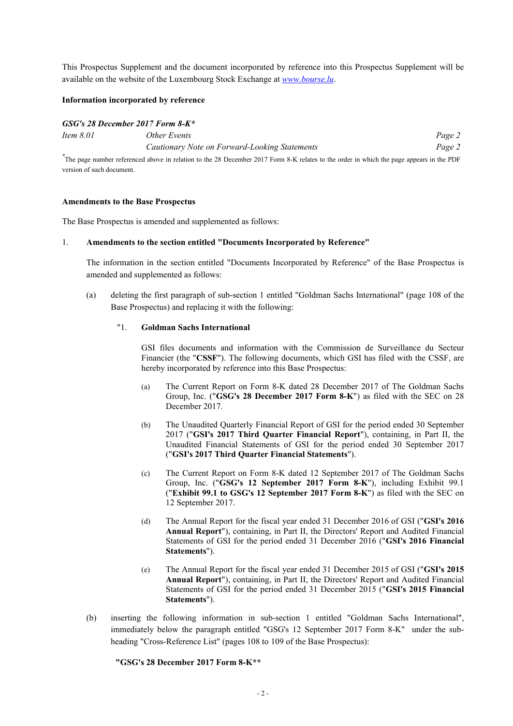This Prospectus Supplement and the document incorporated by reference into this Prospectus Supplement will be available on the website of the Luxembourg Stock Exchange at *[www.bourse.lu](http://www.bourse.lu/)*.

## **Information incorporated by reference**

#### *GSG's 28 December 2017 Form 8-K\**

| Item 8.01 | Other Events                                                                                                                              | Page 2 |
|-----------|-------------------------------------------------------------------------------------------------------------------------------------------|--------|
|           | Cautionary Note on Forward-Looking Statements                                                                                             | Page 2 |
|           | The nego number referenced chara in relation to the 20 December 2017 Form $9$ V relates to the erder in which the nego ennears in the DDF |        |

<sup>\*</sup>The page number referenced above in relation to the 28 December 2017 Form 8-K relates to the order in which the page appears in the PDF version of such document.

#### **Amendments to the Base Prospectus**

The Base Prospectus is amended and supplemented as follows:

#### 1. **Amendments to the section entitled "Documents Incorporated by Reference"**

The information in the section entitled "Documents Incorporated by Reference" of the Base Prospectus is amended and supplemented as follows:

(a) deleting the first paragraph of sub-section 1 entitled "Goldman Sachs International" (page 108 of the Base Prospectus) and replacing it with the following:

#### "1. **Goldman Sachs International**

GSI files documents and information with the Commission de Surveillance du Secteur Financier (the "**CSSF**"). The following documents, which GSI has filed with the CSSF, are hereby incorporated by reference into this Base Prospectus:

- (a) The Current Report on Form 8-K dated 28 December 2017 of The Goldman Sachs Group, Inc. ("**GSG's 28 December 2017 Form 8-K**") as filed with the SEC on 28 December 2017.
- (b) The Unaudited Quarterly Financial Report of GSI for the period ended 30 September 2017 ("**GSI's 2017 Third Quarter Financial Report**"), containing, in Part II, the Unaudited Financial Statements of GSI for the period ended 30 September 2017 ("**GSI's 2017 Third Quarter Financial Statements**").
- (c) The Current Report on Form 8-K dated 12 September 2017 of The Goldman Sachs Group, Inc. ("**GSG's 12 September 2017 Form 8-K**"), including Exhibit 99.1 ("**Exhibit 99.1 to GSG's 12 September 2017 Form 8-K**") as filed with the SEC on 12 September 2017.
- (d) The Annual Report for the fiscal year ended 31 December 2016 of GSI ("**GSI's 2016 Annual Report**"), containing, in Part II, the Directors' Report and Audited Financial Statements of GSI for the period ended 31 December 2016 ("**GSI's 2016 Financial Statements**").
- (e) The Annual Report for the fiscal year ended 31 December 2015 of GSI ("**GSI's 2015 Annual Report**"), containing, in Part II, the Directors' Report and Audited Financial Statements of GSI for the period ended 31 December 2015 ("**GSI's 2015 Financial Statements**").
- (b) inserting the following information in sub-section 1 entitled "Goldman Sachs International", immediately below the paragraph entitled "GSG's 12 September 2017 Form 8-K" under the subheading "Cross-Reference List" (pages 108 to 109 of the Base Prospectus):

**"GSG's 28 December 2017 Form 8-K\*\***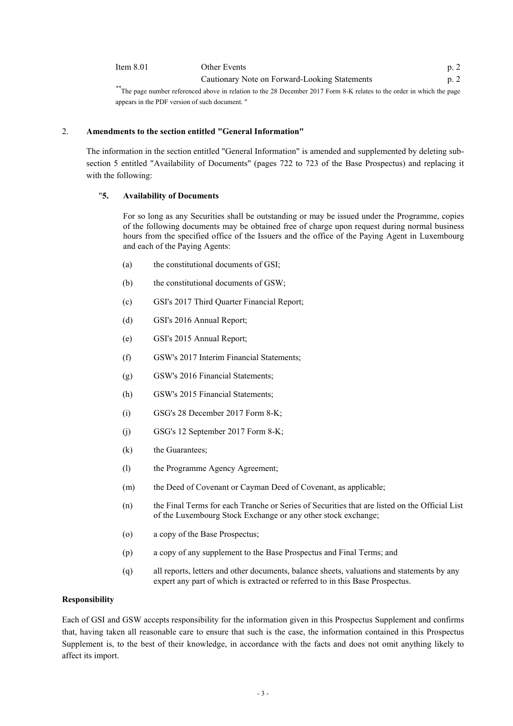Item 8.01 Other Events p. 2 Cautionary Note on Forward-Looking Statements p. 2

*\*\**The page number referenced above in relation to the 28 December 2017 Form 8-K relates to the order in which the page appears in the PDF version of such document. "

## 2. **Amendments to the section entitled "General Information"**

The information in the section entitled "General Information" is amended and supplemented by deleting subsection 5 entitled "Availability of Documents" (pages 722 to 723 of the Base Prospectus) and replacing it with the following:

# "**5. Availability of Documents**

For so long as any Securities shall be outstanding or may be issued under the Programme, copies of the following documents may be obtained free of charge upon request during normal business hours from the specified office of the Issuers and the office of the Paying Agent in Luxembourg and each of the Paying Agents:

- (a) the constitutional documents of GSI;
- (b) the constitutional documents of GSW;
- (c) GSI's 2017 Third Quarter Financial Report;
- (d) GSI's 2016 Annual Report;
- (e) GSI's 2015 Annual Report;
- (f) GSW's 2017 Interim Financial Statements;
- (g) GSW's 2016 Financial Statements;
- (h) GSW's 2015 Financial Statements;
- (i) GSG's 28 December 2017 Form 8-K;
- (j) GSG's 12 September 2017 Form 8-K;
- (k) the Guarantees;
- (l) the Programme Agency Agreement;
- (m) the Deed of Covenant or Cayman Deed of Covenant, as applicable;
- (n) the Final Terms for each Tranche or Series of Securities that are listed on the Official List of the Luxembourg Stock Exchange or any other stock exchange;
- (o) a copy of the Base Prospectus;
- (p) a copy of any supplement to the Base Prospectus and Final Terms; and
- (q) all reports, letters and other documents, balance sheets, valuations and statements by any expert any part of which is extracted or referred to in this Base Prospectus.

## **Responsibility**

Each of GSI and GSW accepts responsibility for the information given in this Prospectus Supplement and confirms that, having taken all reasonable care to ensure that such is the case, the information contained in this Prospectus Supplement is, to the best of their knowledge, in accordance with the facts and does not omit anything likely to affect its import.